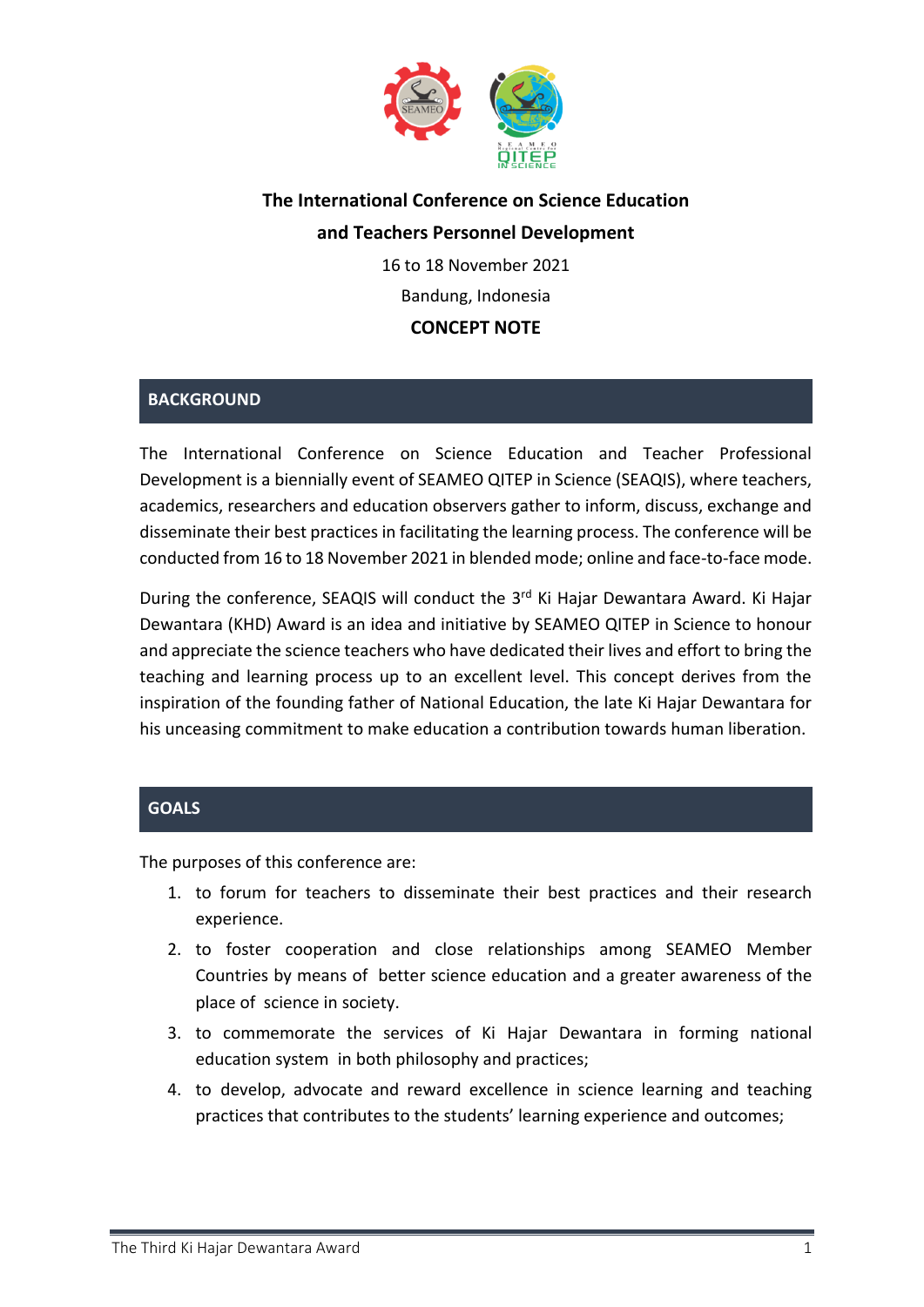

# **The International Conference on Science Education and Teachers Personnel Development**

16 to 18 November 2021 Bandung, Indonesia

## **CONCEPT NOTE**

## **BACKGROUND**

The International Conference on Science Education and Teacher Professional Development is a biennially event of SEAMEO QITEP in Science (SEAQIS), where teachers, academics, researchers and education observers gather to inform, discuss, exchange and disseminate their best practices in facilitating the learning process. The conference will be conducted from 16 to 18 November 2021 in blended mode; online and face-to-face mode.

During the conference, SEAQIS will conduct the 3<sup>rd</sup> Ki Hajar Dewantara Award. Ki Hajar Dewantara (KHD) Award is an idea and initiative by SEAMEO QITEP in Science to honour and appreciate the science teachers who have dedicated their lives and effort to bring the teaching and learning process up to an excellent level. This concept derives from the inspiration of the founding father of National Education, the late Ki Hajar Dewantara for his unceasing commitment to make education a contribution towards human liberation.

### **GOALS**

The purposes of this conference are:

- 1. to forum for teachers to disseminate their best practices and their research experience.
- 2. to foster cooperation and close relationships among SEAMEO Member Countries by means of better science education and a greater awareness of the place of science in society.
- 3. to commemorate the services of Ki Hajar Dewantara in forming national education system in both philosophy and practices;
- 4. to develop, advocate and reward excellence in science learning and teaching practices that contributes to the students' learning experience and outcomes;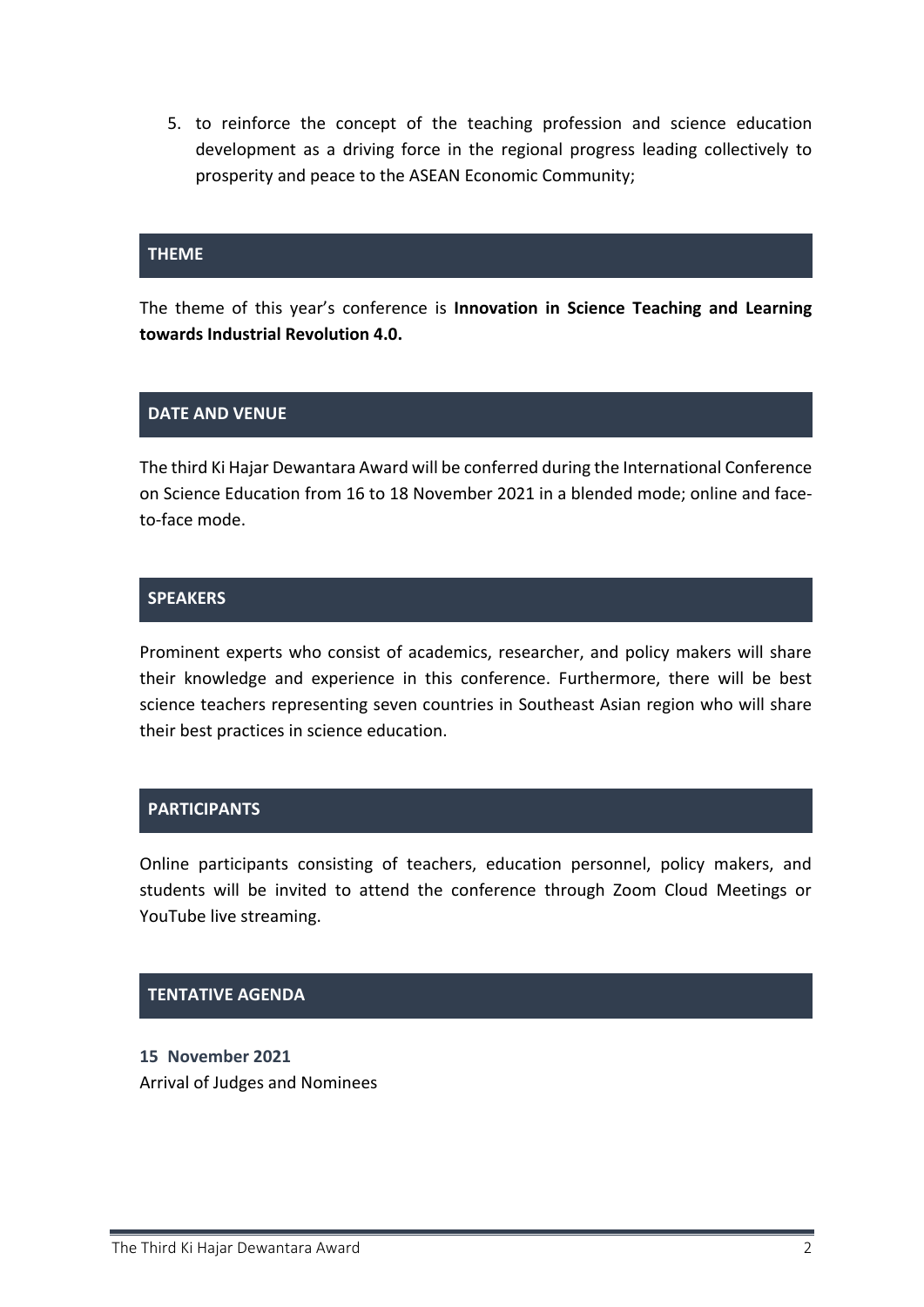5. to reinforce the concept of the teaching profession and science education development as a driving force in the regional progress leading collectively to prosperity and peace to the ASEAN Economic Community;

#### **THEME**

The theme of this year's conference is **Innovation in Science Teaching and Learning towards Industrial Revolution 4.0.**

#### **DATE AND VENUE**

The third Ki Hajar Dewantara Award will be conferred during the International Conference on Science Education from 16 to 18 November 2021 in a blended mode; online and faceto-face mode.

#### **SPEAKERS**

Prominent experts who consist of academics, researcher, and policy makers will share their knowledge and experience in this conference. Furthermore, there will be best science teachers representing seven countries in Southeast Asian region who will share their best practices in science education.

#### **PARTICIPANTS**

Online participants consisting of teachers, education personnel, policy makers, and students will be invited to attend the conference through Zoom Cloud Meetings or YouTube live streaming.

#### **TENTATIVE AGENDA**

**15 November 2021** Arrival of Judges and Nominees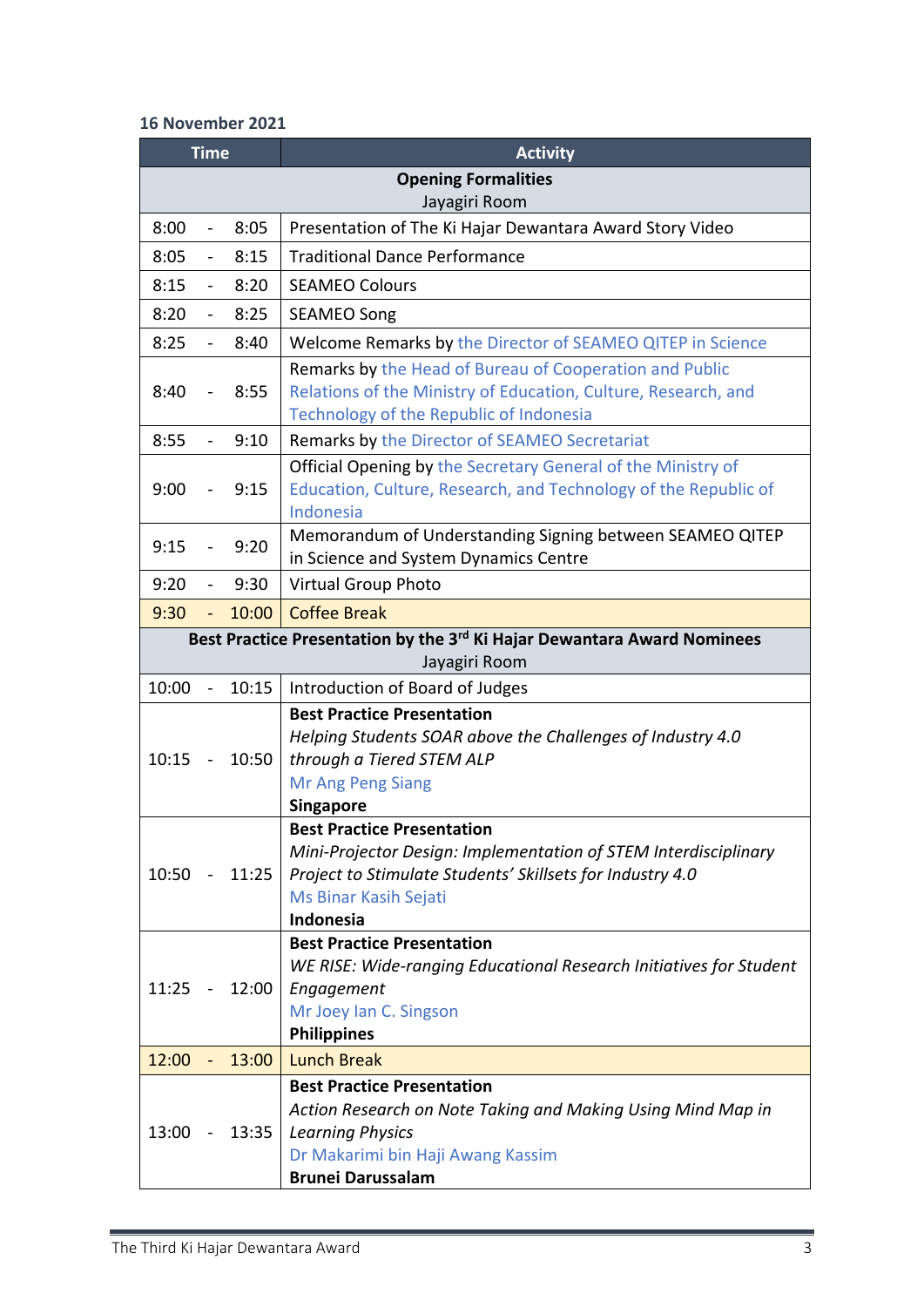# **16 November 2021**

| <b>Time</b> |                          |       | <b>Activity</b>                                                                                   |
|-------------|--------------------------|-------|---------------------------------------------------------------------------------------------------|
|             |                          |       | <b>Opening Formalities</b>                                                                        |
|             |                          |       | Jayagiri Room                                                                                     |
| 8:00        |                          | 8:05  | Presentation of The Ki Hajar Dewantara Award Story Video                                          |
| 8:05        | $\blacksquare$           | 8:15  | <b>Traditional Dance Performance</b>                                                              |
| 8:15        | $\blacksquare$           | 8:20  | <b>SEAMEO Colours</b>                                                                             |
| 8:20        | $\blacksquare$           | 8:25  | <b>SEAMEO Song</b>                                                                                |
| 8:25        | $\blacksquare$           | 8:40  | Welcome Remarks by the Director of SEAMEO QITEP in Science                                        |
|             |                          |       | Remarks by the Head of Bureau of Cooperation and Public                                           |
| 8:40        |                          | 8:55  | Relations of the Ministry of Education, Culture, Research, and                                    |
|             |                          |       | Technology of the Republic of Indonesia                                                           |
| 8:55        | $\overline{\phantom{a}}$ | 9:10  | Remarks by the Director of SEAMEO Secretariat                                                     |
|             |                          |       | Official Opening by the Secretary General of the Ministry of                                      |
| 9:00        |                          | 9:15  | Education, Culture, Research, and Technology of the Republic of                                   |
|             |                          |       | Indonesia                                                                                         |
| 9:15        |                          | 9:20  | Memorandum of Understanding Signing between SEAMEO QITEP<br>in Science and System Dynamics Centre |
| 9:20        |                          | 9:30  | <b>Virtual Group Photo</b>                                                                        |
| 9:30        |                          | 10:00 | <b>Coffee Break</b>                                                                               |
|             |                          |       | Best Practice Presentation by the 3 <sup>rd</sup> Ki Hajar Dewantara Award Nominees               |
|             |                          |       | Jayagiri Room                                                                                     |
| 10:00       |                          | 10:15 | Introduction of Board of Judges                                                                   |
|             |                          |       | <b>Best Practice Presentation</b>                                                                 |
|             |                          |       | Helping Students SOAR above the Challenges of Industry 4.0                                        |
| 10:15       |                          | 10:50 | through a Tiered STEM ALP                                                                         |
|             |                          |       | Mr Ang Peng Siang                                                                                 |
|             |                          |       | <b>Singapore</b>                                                                                  |
|             |                          |       | <b>Best Practice Presentation</b>                                                                 |
|             |                          |       | Mini-Projector Design: Implementation of STEM Interdisciplinary                                   |
| 10:50       |                          | 11:25 | Project to Stimulate Students' Skillsets for Industry 4.0                                         |
|             |                          |       | Ms Binar Kasih Sejati<br>Indonesia                                                                |
|             |                          |       | <b>Best Practice Presentation</b>                                                                 |
|             |                          |       | WE RISE: Wide-ranging Educational Research Initiatives for Student                                |
| 11:25       |                          | 12:00 | Engagement                                                                                        |
|             |                          |       | Mr Joey Ian C. Singson                                                                            |
|             |                          |       | <b>Philippines</b>                                                                                |
| 12:00       |                          | 13:00 | <b>Lunch Break</b>                                                                                |
|             |                          |       | <b>Best Practice Presentation</b>                                                                 |
|             |                          |       | Action Research on Note Taking and Making Using Mind Map in                                       |
| 13:00       |                          | 13:35 | <b>Learning Physics</b>                                                                           |
|             |                          |       | Dr Makarimi bin Haji Awang Kassim                                                                 |
|             |                          |       | <b>Brunei Darussalam</b>                                                                          |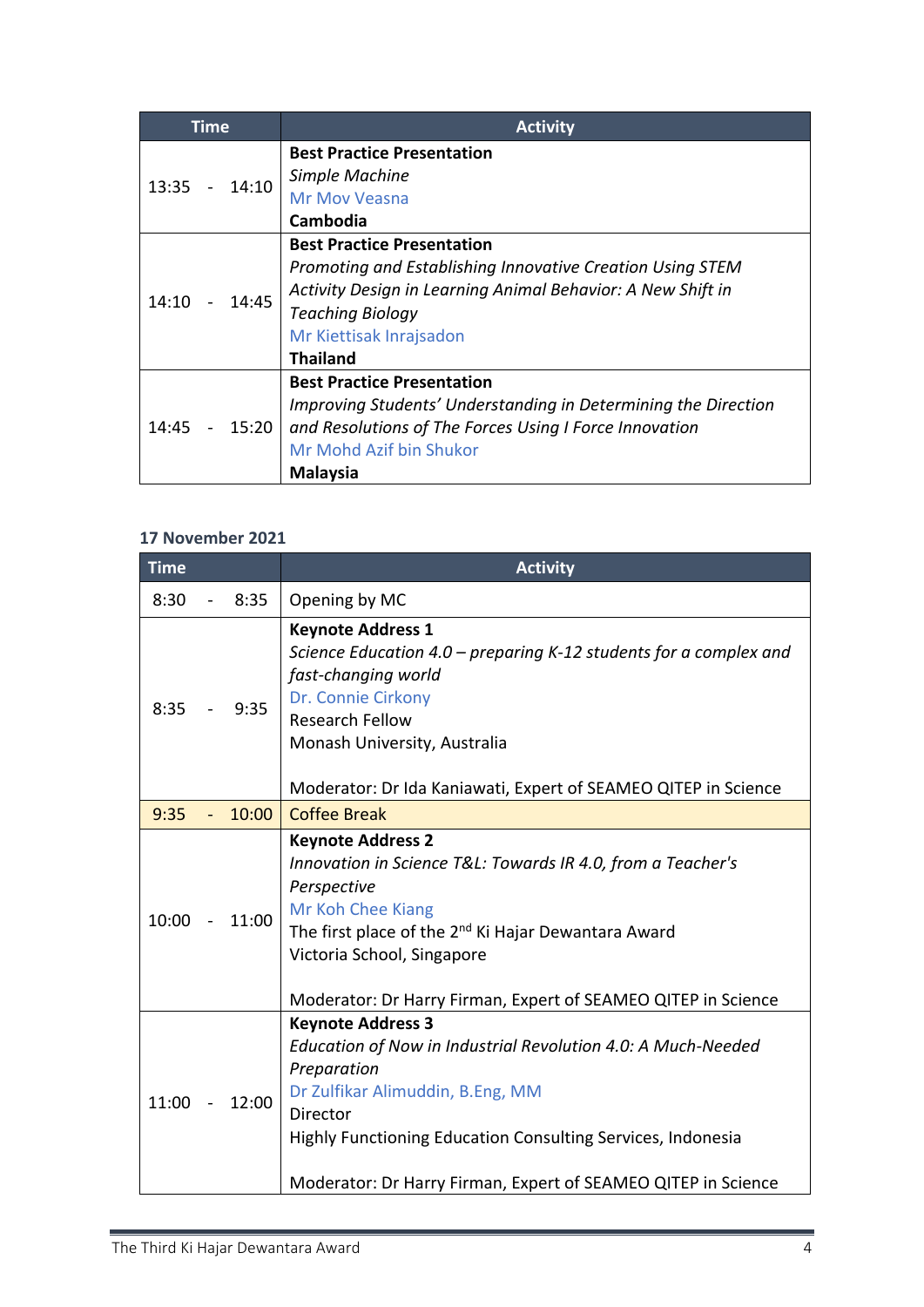| Time           | <b>Activity</b>                                                |
|----------------|----------------------------------------------------------------|
|                | <b>Best Practice Presentation</b>                              |
| 14:10<br>13:35 | Simple Machine                                                 |
|                | <b>Mr Mov Veasna</b>                                           |
|                | Cambodia                                                       |
|                | <b>Best Practice Presentation</b>                              |
|                | Promoting and Establishing Innovative Creation Using STEM      |
| 14:45<br>14:10 | Activity Design in Learning Animal Behavior: A New Shift in    |
|                | <b>Teaching Biology</b>                                        |
|                | Mr Kiettisak Inrajsadon                                        |
|                | <b>Thailand</b>                                                |
|                | <b>Best Practice Presentation</b>                              |
|                | Improving Students' Understanding in Determining the Direction |
| 14:45<br>15:20 | and Resolutions of The Forces Using I Force Innovation         |
|                | Mr Mohd Azif bin Shukor                                        |
|                | <b>Malaysia</b>                                                |

# **17 November 2021**

| <b>Time</b>             |       | <b>Activity</b>                                                                                                                                                                                                                                                                                |
|-------------------------|-------|------------------------------------------------------------------------------------------------------------------------------------------------------------------------------------------------------------------------------------------------------------------------------------------------|
| 8:30                    | 8:35  | Opening by MC                                                                                                                                                                                                                                                                                  |
| 8:35                    | 9:35  | <b>Keynote Address 1</b><br>Science Education 4.0 – preparing K-12 students for a complex and<br>fast-changing world<br>Dr. Connie Cirkony<br><b>Research Fellow</b><br>Monash University, Australia<br>Moderator: Dr Ida Kaniawati, Expert of SEAMEO QITEP in Science                         |
| 9:35                    | 10:00 | <b>Coffee Break</b>                                                                                                                                                                                                                                                                            |
| 10:00<br>$\blacksquare$ | 11:00 | <b>Keynote Address 2</b><br>Innovation in Science T&L: Towards IR 4.0, from a Teacher's<br>Perspective<br>Mr Koh Chee Kiang<br>The first place of the 2 <sup>nd</sup> Ki Hajar Dewantara Award<br>Victoria School, Singapore<br>Moderator: Dr Harry Firman, Expert of SEAMEO QITEP in Science  |
| 11:00                   | 12:00 | <b>Keynote Address 3</b><br>Education of Now in Industrial Revolution 4.0: A Much-Needed<br>Preparation<br>Dr Zulfikar Alimuddin, B.Eng, MM<br><b>Director</b><br>Highly Functioning Education Consulting Services, Indonesia<br>Moderator: Dr Harry Firman, Expert of SEAMEO QITEP in Science |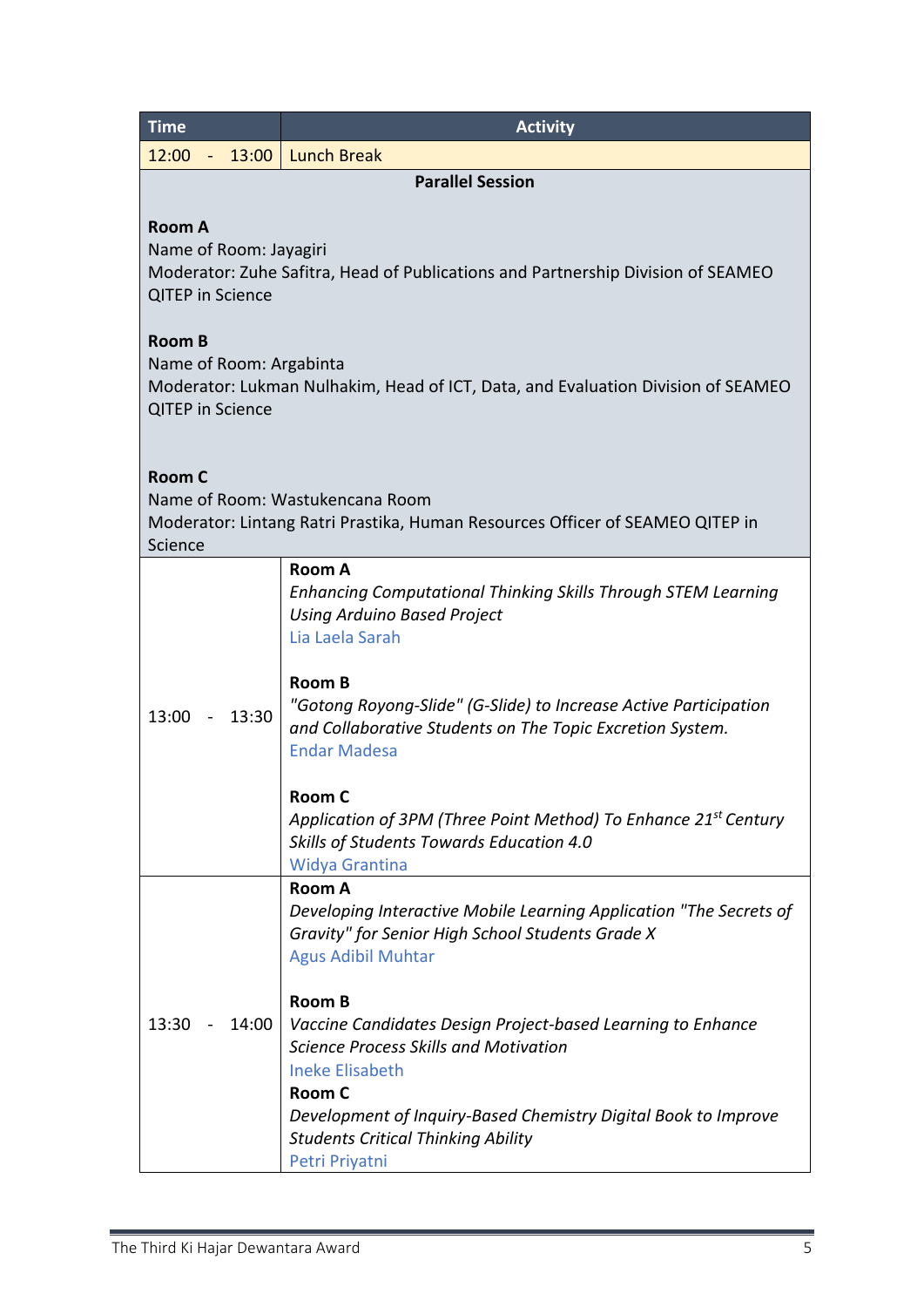| <b>Time</b>                                                                                                                                             | <b>Activity</b>                                                                                                                                                                                                                                                                                                                                                                                                                                                                |  |  |
|---------------------------------------------------------------------------------------------------------------------------------------------------------|--------------------------------------------------------------------------------------------------------------------------------------------------------------------------------------------------------------------------------------------------------------------------------------------------------------------------------------------------------------------------------------------------------------------------------------------------------------------------------|--|--|
| 12:00 - 13:00 Lunch Break                                                                                                                               |                                                                                                                                                                                                                                                                                                                                                                                                                                                                                |  |  |
|                                                                                                                                                         | <b>Parallel Session</b>                                                                                                                                                                                                                                                                                                                                                                                                                                                        |  |  |
| <b>Room A</b><br>Name of Room: Jayagiri<br>Moderator: Zuhe Safitra, Head of Publications and Partnership Division of SEAMEO<br><b>QITEP</b> in Science  |                                                                                                                                                                                                                                                                                                                                                                                                                                                                                |  |  |
| <b>Room B</b><br>Name of Room: Argabinta<br>Moderator: Lukman Nulhakim, Head of ICT, Data, and Evaluation Division of SEAMEO<br><b>QITEP</b> in Science |                                                                                                                                                                                                                                                                                                                                                                                                                                                                                |  |  |
| <b>Room C</b><br>Name of Room: Wastukencana Room<br>Moderator: Lintang Ratri Prastika, Human Resources Officer of SEAMEO QITEP in<br>Science            |                                                                                                                                                                                                                                                                                                                                                                                                                                                                                |  |  |
| 13:00<br>13:30<br>$\sim 100$ km s $^{-1}$                                                                                                               | Room A<br><b>Enhancing Computational Thinking Skills Through STEM Learning</b><br><b>Using Arduino Based Project</b><br>Lia Laela Sarah<br><b>Room B</b><br>"Gotong Royong-Slide" (G-Slide) to Increase Active Participation<br>and Collaborative Students on The Topic Excretion System.<br><b>Endar Madesa</b><br><b>Room C</b><br>Application of 3PM (Three Point Method) To Enhance 21 <sup>st</sup> Century<br>Skills of Students Towards Education 4.0<br>Widya Grantina |  |  |
| 13:30<br>14:00                                                                                                                                          | <b>Room A</b><br>Developing Interactive Mobile Learning Application "The Secrets of<br>Gravity" for Senior High School Students Grade X<br><b>Agus Adibil Muhtar</b><br><b>Room B</b><br>Vaccine Candidates Design Project-based Learning to Enhance<br><b>Science Process Skills and Motivation</b><br><b>Ineke Elisabeth</b><br>Room C<br>Development of Inquiry-Based Chemistry Digital Book to Improve<br><b>Students Critical Thinking Ability</b><br>Petri Priyatni      |  |  |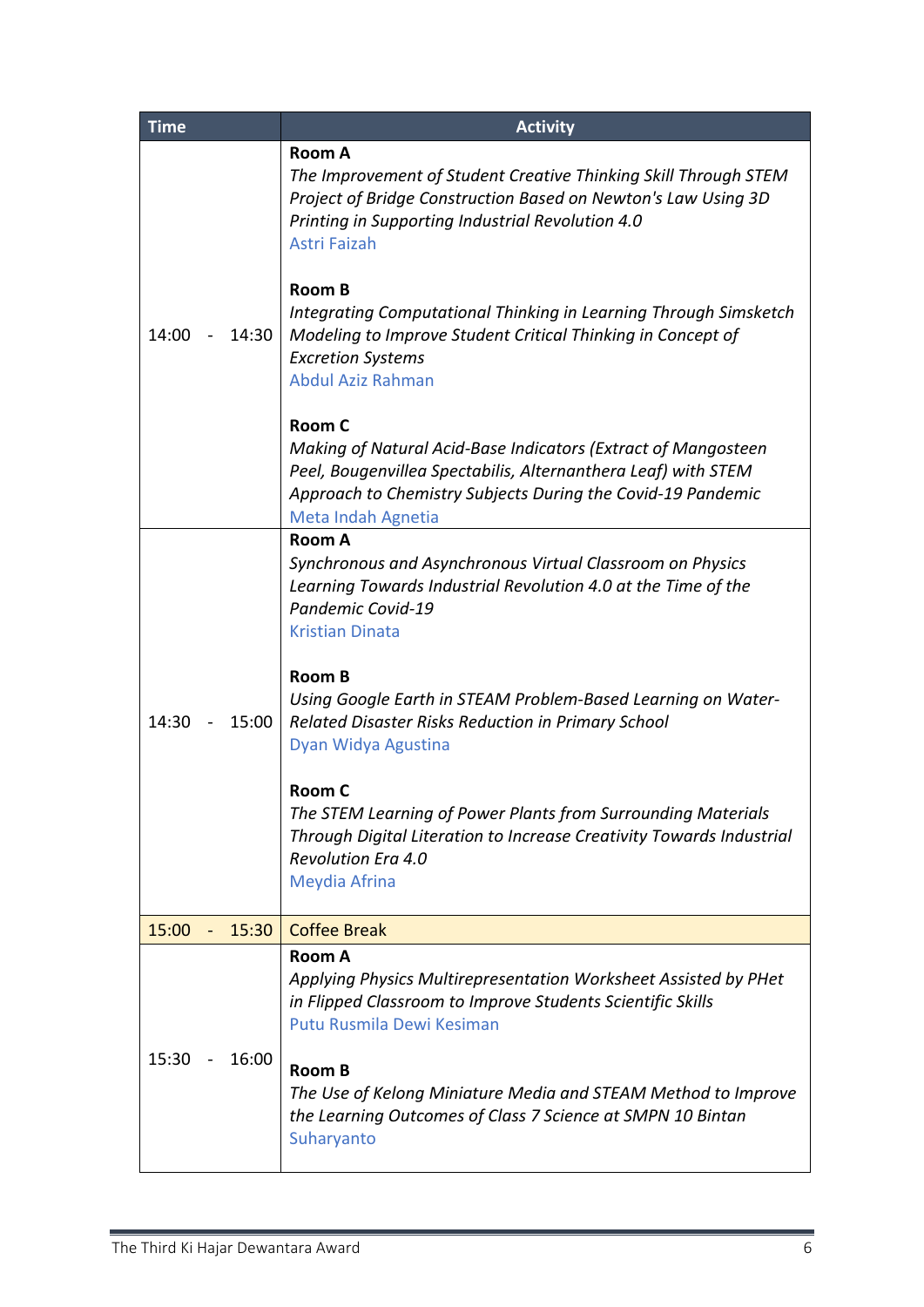| <b>Time</b>    | <b>Activity</b>                                                                                                                                                                                                                        |
|----------------|----------------------------------------------------------------------------------------------------------------------------------------------------------------------------------------------------------------------------------------|
|                | <b>Room A</b><br>The Improvement of Student Creative Thinking Skill Through STEM<br>Project of Bridge Construction Based on Newton's Law Using 3D<br>Printing in Supporting Industrial Revolution 4.0<br>Astri Faizah<br><b>Room B</b> |
| 14:30<br>14:00 | Integrating Computational Thinking in Learning Through Simsketch<br>Modeling to Improve Student Critical Thinking in Concept of<br><b>Excretion Systems</b><br><b>Abdul Aziz Rahman</b>                                                |
|                | Room C<br>Making of Natural Acid-Base Indicators (Extract of Mangosteen<br>Peel, Bougenvillea Spectabilis, Alternanthera Leaf) with STEM<br>Approach to Chemistry Subjects During the Covid-19 Pandemic<br>Meta Indah Agnetia          |
|                | <b>Room A</b><br>Synchronous and Asynchronous Virtual Classroom on Physics<br>Learning Towards Industrial Revolution 4.0 at the Time of the<br>Pandemic Covid-19<br><b>Kristian Dinata</b>                                             |
| 15:00<br>14:30 | <b>Room B</b><br>Using Google Earth in STEAM Problem-Based Learning on Water-<br>Related Disaster Risks Reduction in Primary School<br>Dyan Widya Agustina                                                                             |
|                | <b>Room C</b><br>The STEM Learning of Power Plants from Surrounding Materials<br>Through Digital Literation to Increase Creativity Towards Industrial<br><b>Revolution Era 4.0</b><br>Meydia Afrina                                    |
| 15:00<br>15:30 | <b>Coffee Break</b>                                                                                                                                                                                                                    |
| 16:00<br>15:30 | <b>Room A</b><br>Applying Physics Multirepresentation Worksheet Assisted by PHet<br>in Flipped Classroom to Improve Students Scientific Skills<br>Putu Rusmila Dewi Kesiman<br><b>Room B</b>                                           |
|                | The Use of Kelong Miniature Media and STEAM Method to Improve<br>the Learning Outcomes of Class 7 Science at SMPN 10 Bintan<br>Suharyanto                                                                                              |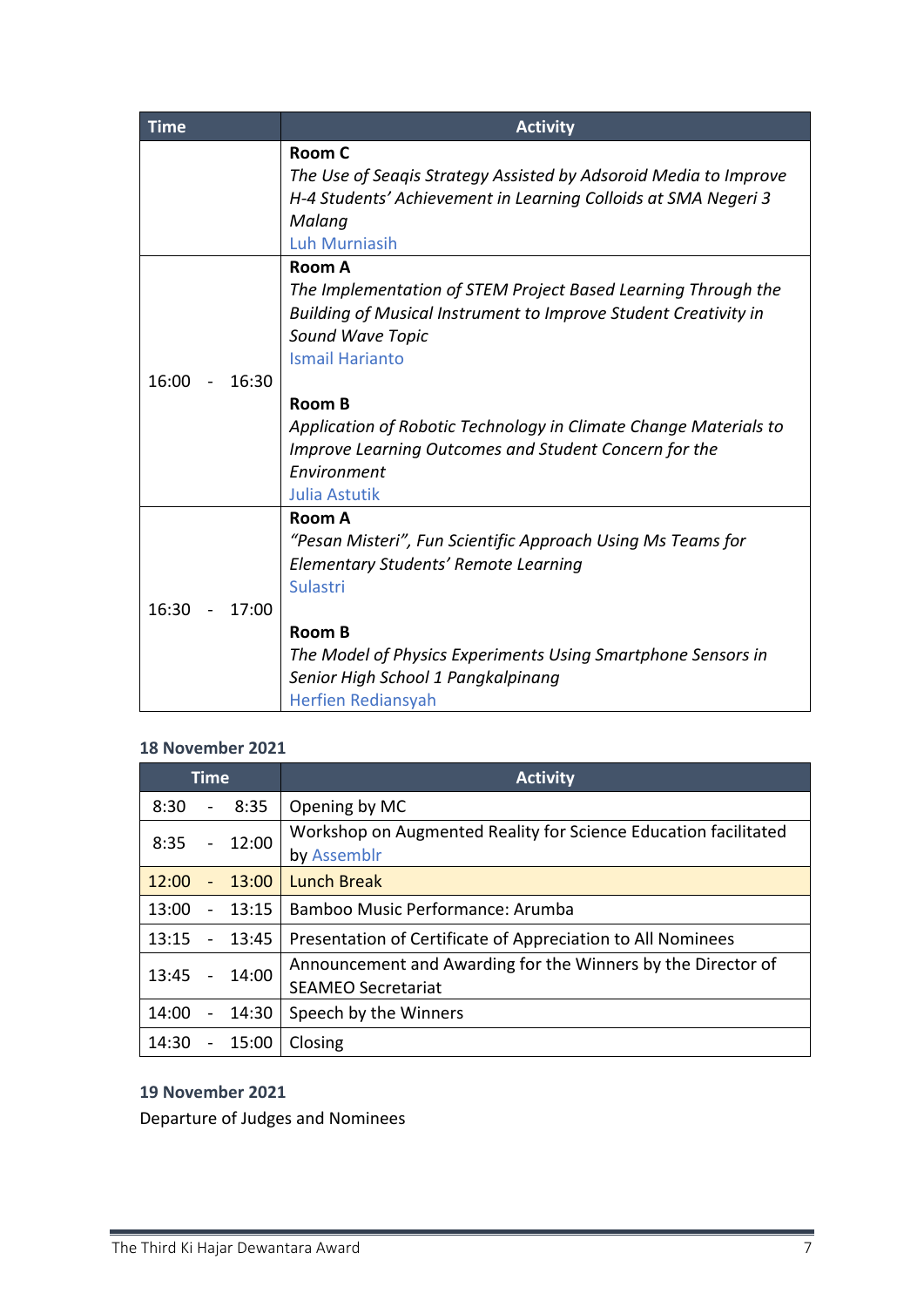| <b>Time</b>    | <b>Activity</b>                                                                                                                                                                                           |
|----------------|-----------------------------------------------------------------------------------------------------------------------------------------------------------------------------------------------------------|
|                | <b>Room C</b><br>The Use of Seagis Strategy Assisted by Adsoroid Media to Improve<br>H-4 Students' Achievement in Learning Colloids at SMA Negeri 3<br>Malang<br><b>Luh Murniasih</b>                     |
| 16:00<br>16:30 | Room A<br>The Implementation of STEM Project Based Learning Through the<br>Building of Musical Instrument to Improve Student Creativity in<br><b>Sound Wave Topic</b><br><b>Ismail Harianto</b><br>Room B |
|                | Application of Robotic Technology in Climate Change Materials to<br>Improve Learning Outcomes and Student Concern for the<br>Environment<br><b>Julia Astutik</b>                                          |
| 16:30<br>17:00 | Room A<br>"Pesan Misteri", Fun Scientific Approach Using Ms Teams for<br>Elementary Students' Remote Learning<br>Sulastri<br>Room B<br>The Model of Physics Experiments Using Smartphone Sensors in       |
|                | Senior High School 1 Pangkalpinang<br><b>Herfien Rediansyah</b>                                                                                                                                           |

## **18 November 2021**

|               | <b>Time</b>    |          | <b>Activity</b>                                                                           |
|---------------|----------------|----------|-------------------------------------------------------------------------------------------|
| $8:30 - 8:35$ |                |          | Opening by MC                                                                             |
| 8:35          |                | $-12:00$ | Workshop on Augmented Reality for Science Education facilitated<br>by Assemblr            |
| 12:00         | $\blacksquare$ | 13:00    | <b>Lunch Break</b>                                                                        |
| 13:00         |                | $-13:15$ | Bamboo Music Performance: Arumba                                                          |
| 13:15         |                | $-13:45$ | Presentation of Certificate of Appreciation to All Nominees                               |
| 13:45         |                | $-14:00$ | Announcement and Awarding for the Winners by the Director of<br><b>SEAMEO Secretariat</b> |
| 14:00         | $\blacksquare$ | 14:30    | Speech by the Winners                                                                     |
| 14:30         |                | 15:00    | Closing                                                                                   |

**19 November 2021**

Departure of Judges and Nominees